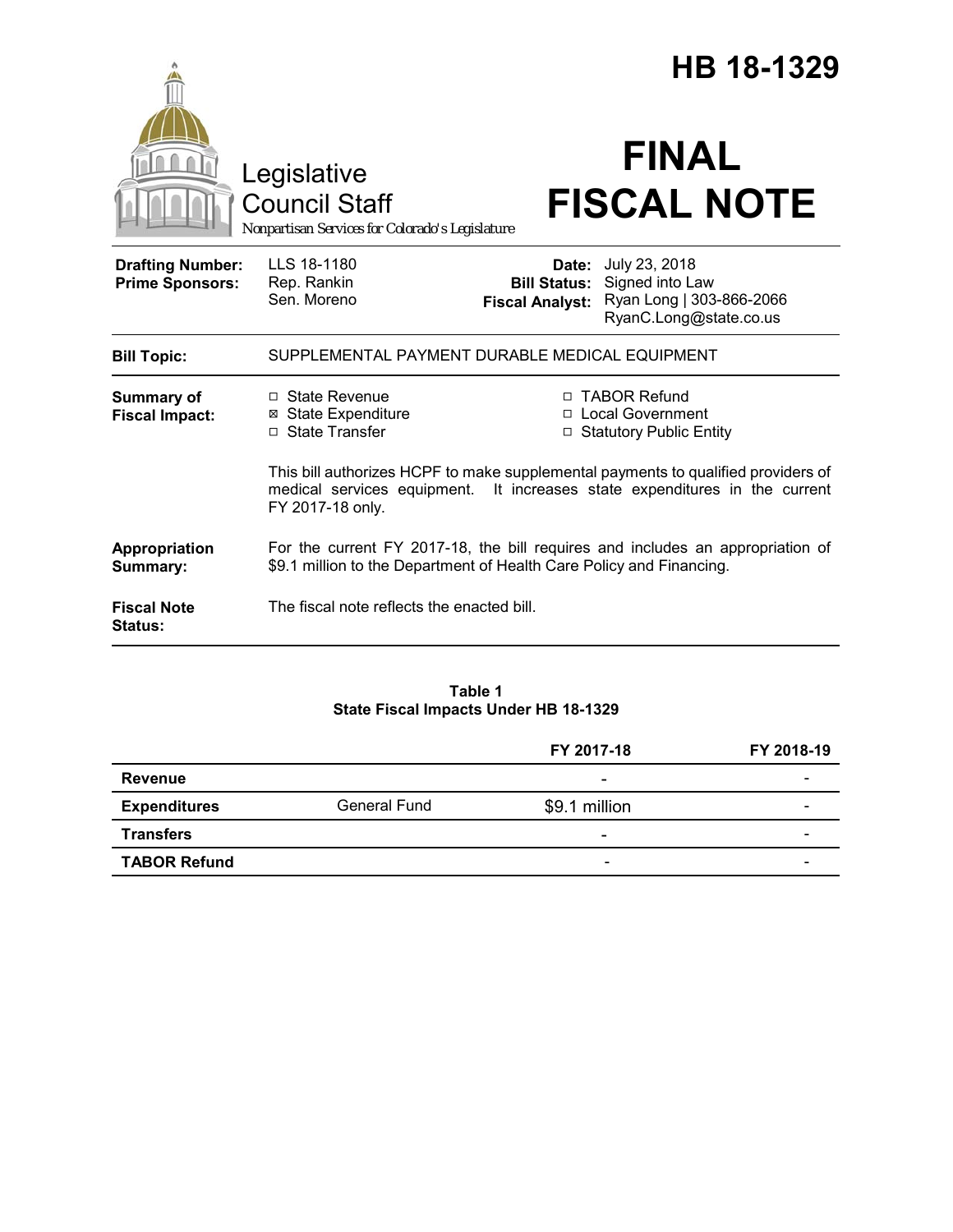|                                                   |                                                                                                                                                                                     | HB 18-1329                                             |                                                                                        |
|---------------------------------------------------|-------------------------------------------------------------------------------------------------------------------------------------------------------------------------------------|--------------------------------------------------------|----------------------------------------------------------------------------------------|
|                                                   | Legislative<br><b>Council Staff</b><br>Nonpartisan Services for Colorado's Legislature                                                                                              |                                                        | <b>FINAL</b><br><b>FISCAL NOTE</b>                                                     |
| <b>Drafting Number:</b><br><b>Prime Sponsors:</b> | LLS 18-1180<br>Rep. Rankin<br>Sen. Moreno                                                                                                                                           | Date:<br><b>Bill Status:</b><br><b>Fiscal Analyst:</b> | July 23, 2018<br>Signed into Law<br>Ryan Long   303-866-2066<br>RyanC.Long@state.co.us |
| <b>Bill Topic:</b>                                | SUPPLEMENTAL PAYMENT DURABLE MEDICAL EQUIPMENT                                                                                                                                      |                                                        |                                                                                        |
| <b>Summary of</b><br><b>Fiscal Impact:</b>        | $\Box$ State Revenue<br><b>⊠</b> State Expenditure<br>□ State Transfer                                                                                                              |                                                        | □ TABOR Refund<br>□ Local Government<br>□ Statutory Public Entity                      |
|                                                   | This bill authorizes HCPF to make supplemental payments to qualified providers of<br>medical services equipment. It increases state expenditures in the current<br>FY 2017-18 only. |                                                        |                                                                                        |
| Appropriation<br>Summary:                         | For the current FY 2017-18, the bill requires and includes an appropriation of<br>\$9.1 million to the Department of Health Care Policy and Financing.                              |                                                        |                                                                                        |
| <b>Fiscal Note</b><br>Status:                     | The fiscal note reflects the enacted bill.                                                                                                                                          |                                                        |                                                                                        |

# **Table 1 State Fiscal Impacts Under HB 18-1329**

|                     |              | FY 2017-18                   | FY 2018-19 |
|---------------------|--------------|------------------------------|------------|
| Revenue             |              | ۰                            |            |
| <b>Expenditures</b> | General Fund | \$9.1 million                | -          |
| <b>Transfers</b>    |              | $\overline{\phantom{a}}$     | -          |
| <b>TABOR Refund</b> |              | $\qquad \qquad \blacksquare$ | -          |